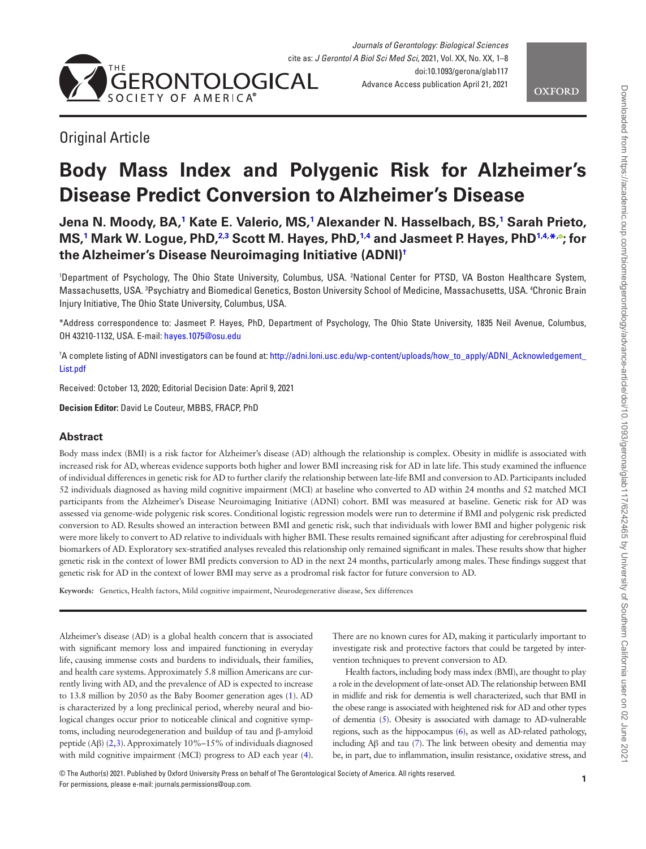

## Original Article

# **Body Mass Index and Polygenic Risk for Alzheimer's Disease Predict Conversion to Alzheimer's Disease**

**Jena N. Moody, BA[,1](#page-0-0) Kate E. Valerio, MS,[1](#page-0-0) Alexander N. Hasselbach, BS[,1](#page-0-0) Sarah Prieto, MS[,1](#page-0-0) Mark W. Logue, PhD[,2](#page-0-1)[,3](#page-0-2) Scott M. Hayes, PhD,[1,](#page-0-0)[4](#page-0-3) and Jasmeet P. Hayes, PhD[1,](#page-0-0)[4](#page-0-3), [\\*](#page-0-4), [;](https://orcid.org/0000-0002-5157-0666) for the Alzheimer's Disease Neuroimaging Initiative (ADNI[\)†](#page-0-5)**

<span id="page-0-3"></span><span id="page-0-2"></span><span id="page-0-1"></span><span id="page-0-0"></span>1 Department of Psychology, The Ohio State University, Columbus, USA. 2 National Center for PTSD, VA Boston Healthcare System, Massachusetts, USA. <sup>3</sup>Psychiatry and Biomedical Genetics, Boston University School of Medicine, Massachusetts, USA. <sup>4</sup>Chronic Brain Injury Initiative, The Ohio State University, Columbus, USA.

<span id="page-0-4"></span>\*Address correspondence to: Jasmeet P. Hayes, PhD, Department of Psychology, The Ohio State University, 1835 Neil Avenue, Columbus, OH 43210-1132, USA. E-mail: [hayes.1075@osu.edu](mailto:hayes.1075@osu.edu?subject=)

<span id="page-0-5"></span>† A complete listing of ADNI investigators can be found at: [http://adni.loni.usc.edu/wp-content/uploads/how\\_to\\_apply/ADNI\\_Acknowledgement\\_](http://adni.loni.usc.edu/wp-content/uploads/how_to_apply/ADNI_Acknowledgement_List.pdf) [List.pdf](http://adni.loni.usc.edu/wp-content/uploads/how_to_apply/ADNI_Acknowledgement_List.pdf)

Received: October 13, 2020; Editorial Decision Date: April 9, 2021

**Decision Editor:** David Le Couteur, MBBS, FRACP, PhD

## **Abstract**

Body mass index (BMI) is a risk factor for Alzheimer's disease (AD) although the relationship is complex. Obesity in midlife is associated with increased risk for AD, whereas evidence supports both higher and lower BMI increasing risk for AD in late life. This study examined the influence of individual differences in genetic risk for AD to further clarify the relationship between late-life BMI and conversion to AD. Participants included 52 individuals diagnosed as having mild cognitive impairment (MCI) at baseline who converted to AD within 24 months and 52 matched MCI participants from the Alzheimer's Disease Neuroimaging Initiative (ADNI) cohort. BMI was measured at baseline. Genetic risk for AD was assessed via genome-wide polygenic risk scores. Conditional logistic regression models were run to determine if BMI and polygenic risk predicted conversion to AD. Results showed an interaction between BMI and genetic risk, such that individuals with lower BMI and higher polygenic risk were more likely to convert to AD relative to individuals with higher BMI. These results remained significant after adjusting for cerebrospinal fluid biomarkers of AD. Exploratory sex-stratified analyses revealed this relationship only remained significant in males. These results show that higher genetic risk in the context of lower BMI predicts conversion to AD in the next 24 months, particularly among males. These findings suggest that genetic risk for AD in the context of lower BMI may serve as a prodromal risk factor for future conversion to AD.

**Keywords:** Genetics, Health factors, Mild cognitive impairment, Neurodegenerative disease, Sex differences

Alzheimer's disease (AD) is a global health concern that is associated with significant memory loss and impaired functioning in everyday life, causing immense costs and burdens to individuals, their families, and health care systems. Approximately 5.8 million Americans are currently living with AD, and the prevalence of AD is expected to increase to 13.8 million by 2050 as the Baby Boomer generation ages ([1](#page-6-0)). AD is characterized by a long preclinical period, whereby neural and biological changes occur prior to noticeable clinical and cognitive symptoms, including neurodegeneration and buildup of tau and β-amyloid peptide (Aβ) [\(2,](#page-6-1)[3](#page-6-2)). Approximately 10%–15% of individuals diagnosed with mild cognitive impairment (MCI) progress to AD each year ([4](#page-6-3)). There are no known cures for AD, making it particularly important to investigate risk and protective factors that could be targeted by intervention techniques to prevent conversion to AD.

Health factors, including body mass index (BMI), are thought to play a role in the development of late-onset AD. The relationship between BMI in midlife and risk for dementia is well characterized, such that BMI in the obese range is associated with heightened risk for AD and other types of dementia [\(5](#page-6-4)). Obesity is associated with damage to AD-vulnerable regions, such as the hippocampus ([6\)](#page-6-5), as well as AD-related pathology, including Aβ and tau [\(7](#page-6-6)). The link between obesity and dementia may be, in part, due to inflammation, insulin resistance, oxidative stress, and

© The Author(s) 2021. Published by Oxford University Press on behalf of The Gerontological Society of America. All rights reserved. For permissions, please e-mail: journals.permissions@oup.com.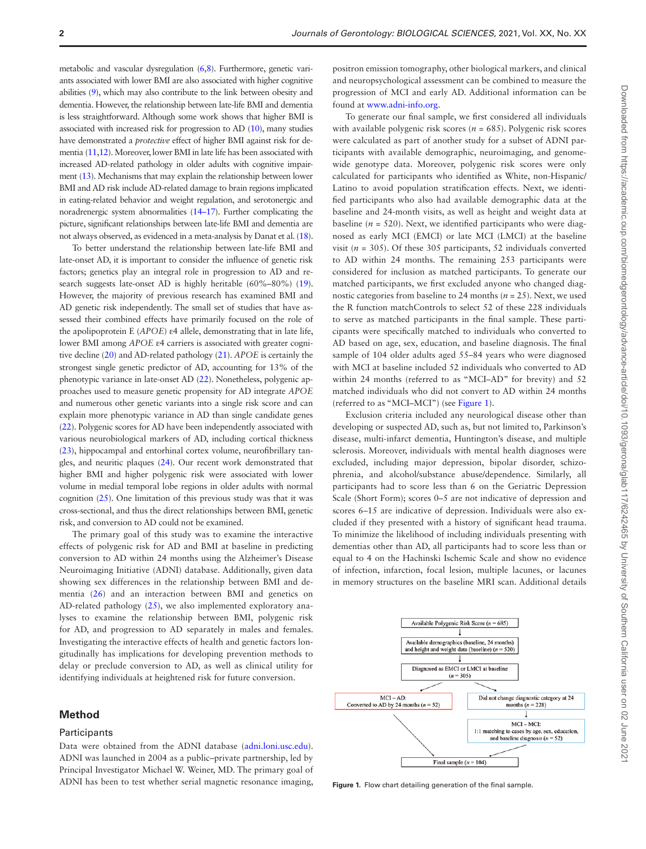metabolic and vascular dysregulation [\(6](#page-6-5)[,8\)](#page-6-7). Furthermore, genetic variants associated with lower BMI are also associated with higher cognitive abilities [\(9](#page-6-8)), which may also contribute to the link between obesity and dementia. However, the relationship between late-life BMI and dementia is less straightforward. Although some work shows that higher BMI is associated with increased risk for progression to AD [\(10](#page-6-9)), many studies have demonstrated a *protective* effect of higher BMI against risk for dementia [\(11](#page-6-10)[,12\)](#page-6-11). Moreover, lower BMI in late life has been associated with increased AD-related pathology in older adults with cognitive impairment [\(13\)](#page-6-12). Mechanisms that may explain the relationship between lower BMI and AD risk include AD-related damage to brain regions implicated in eating-related behavior and weight regulation, and serotonergic and noradrenergic system abnormalities [\(14](#page-6-13)[–17](#page-6-14)). Further complicating the picture, significant relationships between late-life BMI and dementia are not always observed, as evidenced in a meta-analysis by Danat et al. [\(18](#page-6-15)).

To better understand the relationship between late-life BMI and late-onset AD, it is important to consider the influence of genetic risk factors; genetics play an integral role in progression to AD and research suggests late-onset AD is highly heritable (60%–80%) ([19](#page-6-16)). However, the majority of previous research has examined BMI and AD genetic risk independently. The small set of studies that have assessed their combined effects have primarily focused on the role of the apolipoprotein E (*APOE*) ε4 allele, demonstrating that in late life, lower BMI among *APOE* ε4 carriers is associated with greater cognitive decline [\(20\)](#page-6-17) and AD-related pathology ([21](#page-6-18)). *APOE* is certainly the strongest single genetic predictor of AD, accounting for 13% of the phenotypic variance in late-onset AD ([22](#page-6-19)). Nonetheless, polygenic approaches used to measure genetic propensity for AD integrate *APOE* and numerous other genetic variants into a single risk score and can explain more phenotypic variance in AD than single candidate genes [\(22\)](#page-6-19). Polygenic scores for AD have been independently associated with various neurobiological markers of AD, including cortical thickness [\(23\)](#page-6-20), hippocampal and entorhinal cortex volume, neurofibrillary tangles, and neuritic plaques [\(24\)](#page-6-21). Our recent work demonstrated that higher BMI and higher polygenic risk were associated with lower volume in medial temporal lobe regions in older adults with normal cognition [\(25](#page-6-22)). One limitation of this previous study was that it was cross-sectional, and thus the direct relationships between BMI, genetic risk, and conversion to AD could not be examined.

The primary goal of this study was to examine the interactive effects of polygenic risk for AD and BMI at baseline in predicting conversion to AD within 24 months using the Alzheimer's Disease Neuroimaging Initiative (ADNI) database. Additionally, given data showing sex differences in the relationship between BMI and dementia ([26\)](#page-6-23) and an interaction between BMI and genetics on AD-related pathology [\(25](#page-6-22)), we also implemented exploratory analyses to examine the relationship between BMI, polygenic risk for AD, and progression to AD separately in males and females. Investigating the interactive effects of health and genetic factors longitudinally has implications for developing prevention methods to delay or preclude conversion to AD, as well as clinical utility for identifying individuals at heightened risk for future conversion.

#### **Method**

#### **Participants**

Data were obtained from the ADNI database [\(adni.loni.usc.edu](http://adni.loni.usc.edu)). ADNI was launched in 2004 as a public–private partnership, led by Principal Investigator Michael W. Weiner, MD. The primary goal of ADNI has been to test whether serial magnetic resonance imaging, positron emission tomography, other biological markers, and clinical and neuropsychological assessment can be combined to measure the progression of MCI and early AD. Additional information can be found at [www.adni-info.org.](http://www.adni-info.org)

To generate our final sample, we first considered all individuals with available polygenic risk scores ( $n = 685$ ). Polygenic risk scores were calculated as part of another study for a subset of ADNI participants with available demographic, neuroimaging, and genomewide genotype data. Moreover, polygenic risk scores were only calculated for participants who identified as White, non-Hispanic/ Latino to avoid population stratification effects. Next, we identified participants who also had available demographic data at the baseline and 24-month visits, as well as height and weight data at baseline ( $n = 520$ ). Next, we identified participants who were diagnosed as early MCI (EMCI) or late MCI (LMCI) at the baseline visit ( $n = 305$ ). Of these 305 participants, 52 individuals converted to AD within 24 months. The remaining 253 participants were considered for inclusion as matched participants. To generate our matched participants, we first excluded anyone who changed diagnostic categories from baseline to 24 months (*n* = 25). Next, we used the R function matchControls to select 52 of these 228 individuals to serve as matched participants in the final sample. These participants were specifically matched to individuals who converted to AD based on age, sex, education, and baseline diagnosis. The final sample of 104 older adults aged 55–84 years who were diagnosed with MCI at baseline included 52 individuals who converted to AD within 24 months (referred to as "MCI–AD" for brevity) and 52 matched individuals who did not convert to AD within 24 months (referred to as "MCI–MCI") (see [Figure 1\)](#page-1-0).

Exclusion criteria included any neurological disease other than developing or suspected AD, such as, but not limited to, Parkinson's disease, multi-infarct dementia, Huntington's disease, and multiple sclerosis. Moreover, individuals with mental health diagnoses were excluded, including major depression, bipolar disorder, schizophrenia, and alcohol/substance abuse/dependence. Similarly, all participants had to score less than 6 on the Geriatric Depression Scale (Short Form); scores 0–5 are not indicative of depression and scores 6–15 are indicative of depression. Individuals were also excluded if they presented with a history of significant head trauma. To minimize the likelihood of including individuals presenting with dementias other than AD, all participants had to score less than or equal to 4 on the Hachinski Ischemic Scale and show no evidence of infection, infarction, focal lesion, multiple lacunes, or lacunes in memory structures on the baseline MRI scan. Additional details



<span id="page-1-0"></span>**Figure 1.** Flow chart detailing generation of the final sample.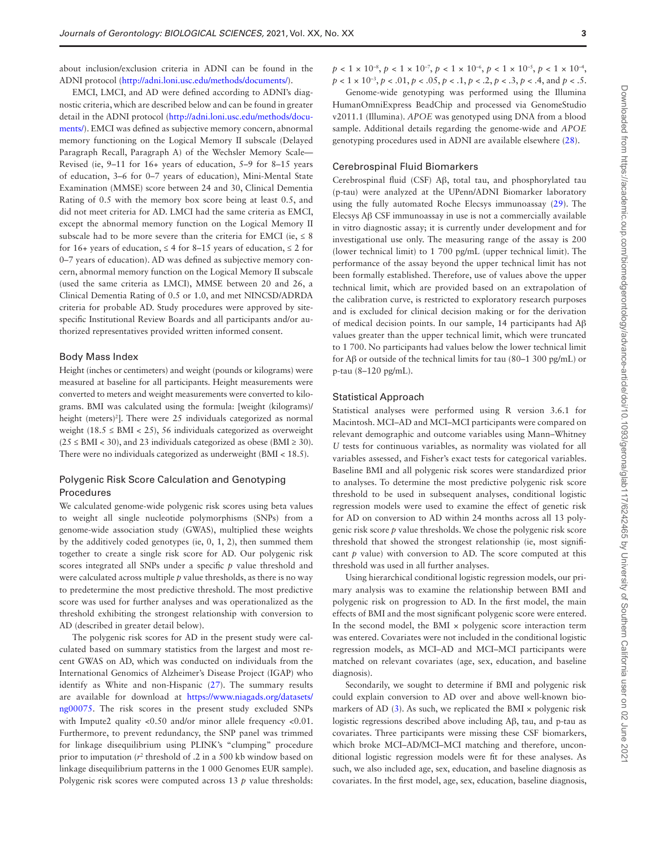about inclusion/exclusion criteria in ADNI can be found in the ADNI protocol [\(http://adni.loni.usc.edu/methods/documents/](http://adni.loni.usc.edu/methods/documents/)).

EMCI, LMCI, and AD were defined according to ADNI's diagnostic criteria, which are described below and can be found in greater detail in the ADNI protocol ([http://adni.loni.usc.edu/methods/docu](http://adni.loni.usc.edu/methods/documents/)[ments/](http://adni.loni.usc.edu/methods/documents/)). EMCI was defined as subjective memory concern, abnormal memory functioning on the Logical Memory II subscale (Delayed Paragraph Recall, Paragraph A) of the Wechsler Memory Scale— Revised (ie, 9–11 for 16+ years of education, 5–9 for 8–15 years of education, 3–6 for 0–7 years of education), Mini-Mental State Examination (MMSE) score between 24 and 30, Clinical Dementia Rating of 0.5 with the memory box score being at least 0.5, and did not meet criteria for AD. LMCI had the same criteria as EMCI, except the abnormal memory function on the Logical Memory II subscale had to be more severe than the criteria for EMCI (ie,  $\leq 8$ ) for 16+ years of education,  $\leq 4$  for 8–15 years of education,  $\leq 2$  for 0–7 years of education). AD was defined as subjective memory concern, abnormal memory function on the Logical Memory II subscale (used the same criteria as LMCI), MMSE between 20 and 26, a Clinical Dementia Rating of 0.5 or 1.0, and met NINCSD/ADRDA criteria for probable AD. Study procedures were approved by sitespecific Institutional Review Boards and all participants and/or authorized representatives provided written informed consent.

#### Body Mass Index

Height (inches or centimeters) and weight (pounds or kilograms) were measured at baseline for all participants. Height measurements were converted to meters and weight measurements were converted to kilograms. BMI was calculated using the formula: [weight (kilograms)/ height (meters)<sup>2</sup>]. There were 25 individuals categorized as normal weight (18.5  $\le$  BMI  $<$  25), 56 individuals categorized as overweight  $(25 \leq BMI < 30)$ , and 23 individuals categorized as obese (BMI  $\geq 30$ ). There were no individuals categorized as underweight (BMI < 18.5).

## Polygenic Risk Score Calculation and Genotyping Procedures

We calculated genome-wide polygenic risk scores using beta values to weight all single nucleotide polymorphisms (SNPs) from a genome-wide association study (GWAS), multiplied these weights by the additively coded genotypes (ie, 0, 1, 2), then summed them together to create a single risk score for AD. Our polygenic risk scores integrated all SNPs under a specific *p* value threshold and were calculated across multiple *p* value thresholds, as there is no way to predetermine the most predictive threshold. The most predictive score was used for further analyses and was operationalized as the threshold exhibiting the strongest relationship with conversion to AD (described in greater detail below).

The polygenic risk scores for AD in the present study were calculated based on summary statistics from the largest and most recent GWAS on AD, which was conducted on individuals from the International Genomics of Alzheimer's Disease Project (IGAP) who identify as White and non-Hispanic [\(27\)](#page-7-0). The summary results are available for download at [https://www.niagads.org/datasets/](https://www.niagads.org/datasets/ng00075) [ng00075](https://www.niagads.org/datasets/ng00075). The risk scores in the present study excluded SNPs with Impute2 quality <0.50 and/or minor allele frequency <0.01. Furthermore, to prevent redundancy, the SNP panel was trimmed for linkage disequilibrium using PLINK's "clumping" procedure prior to imputation  $(r^2)$  threshold of .2 in a 500 kb window based on linkage disequilibrium patterns in the 1 000 Genomes EUR sample). Polygenic risk scores were computed across 13 *p* value thresholds:  $p < 1 \times 10^{-8}$ ,  $p < 1 \times 10^{-7}$ ,  $p < 1 \times 10^{-6}$ ,  $p < 1 \times 10^{-5}$ ,  $p < 1 \times 10^{-4}$ , *p* < 1 × 10–3, *p* < .01, *p* < .05, *p* < .1, *p* < .2, *p* < .3, *p* < .4, and *p* < .5.

Genome-wide genotyping was performed using the Illumina HumanOmniExpress BeadChip and processed via GenomeStudio v2011.1 (Illumina). *APOE* was genotyped using DNA from a blood sample. Additional details regarding the genome-wide and *APOE* genotyping procedures used in ADNI are available elsewhere [\(28\)](#page-7-1).

#### Cerebrospinal Fluid Biomarkers

Cerebrospinal fluid (CSF) Aβ, total tau, and phosphorylated tau (p-tau) were analyzed at the UPenn/ADNI Biomarker laboratory using the fully automated Roche Elecsys immunoassay [\(29](#page-7-2)). The Elecsys Aβ CSF immunoassay in use is not a commercially available in vitro diagnostic assay; it is currently under development and for investigational use only. The measuring range of the assay is 200 (lower technical limit) to 1 700 pg/mL (upper technical limit). The performance of the assay beyond the upper technical limit has not been formally established. Therefore, use of values above the upper technical limit, which are provided based on an extrapolation of the calibration curve, is restricted to exploratory research purposes and is excluded for clinical decision making or for the derivation of medical decision points. In our sample, 14 participants had Aβ values greater than the upper technical limit, which were truncated to 1 700. No participants had values below the lower technical limit for Aβ or outside of the technical limits for tau (80–1 300 pg/mL) or p-tau (8–120 pg/mL).

#### Statistical Approach

Statistical analyses were performed using R version 3.6.1 for Macintosh. MCI–AD and MCI–MCI participants were compared on relevant demographic and outcome variables using Mann–Whitney *U* tests for continuous variables, as normality was violated for all variables assessed, and Fisher's exact tests for categorical variables. Baseline BMI and all polygenic risk scores were standardized prior to analyses. To determine the most predictive polygenic risk score threshold to be used in subsequent analyses, conditional logistic regression models were used to examine the effect of genetic risk for AD on conversion to AD within 24 months across all 13 polygenic risk score *p* value thresholds. We chose the polygenic risk score threshold that showed the strongest relationship (ie, most significant  $p$  value) with conversion to AD. The score computed at this threshold was used in all further analyses.

Using hierarchical conditional logistic regression models, our primary analysis was to examine the relationship between BMI and polygenic risk on progression to AD. In the first model, the main effects of BMI and the most significant polygenic score were entered. In the second model, the BMI  $\times$  polygenic score interaction term was entered. Covariates were not included in the conditional logistic regression models, as MCI–AD and MCI–MCI participants were matched on relevant covariates (age, sex, education, and baseline diagnosis).

Secondarily, we sought to determine if BMI and polygenic risk could explain conversion to AD over and above well-known biomarkers of AD  $(3)$  $(3)$ . As such, we replicated the BMI  $\times$  polygenic risk logistic regressions described above including Aβ, tau, and p-tau as covariates. Three participants were missing these CSF biomarkers, which broke MCI–AD/MCI–MCI matching and therefore, unconditional logistic regression models were fit for these analyses. As such, we also included age, sex, education, and baseline diagnosis as covariates. In the first model, age, sex, education, baseline diagnosis,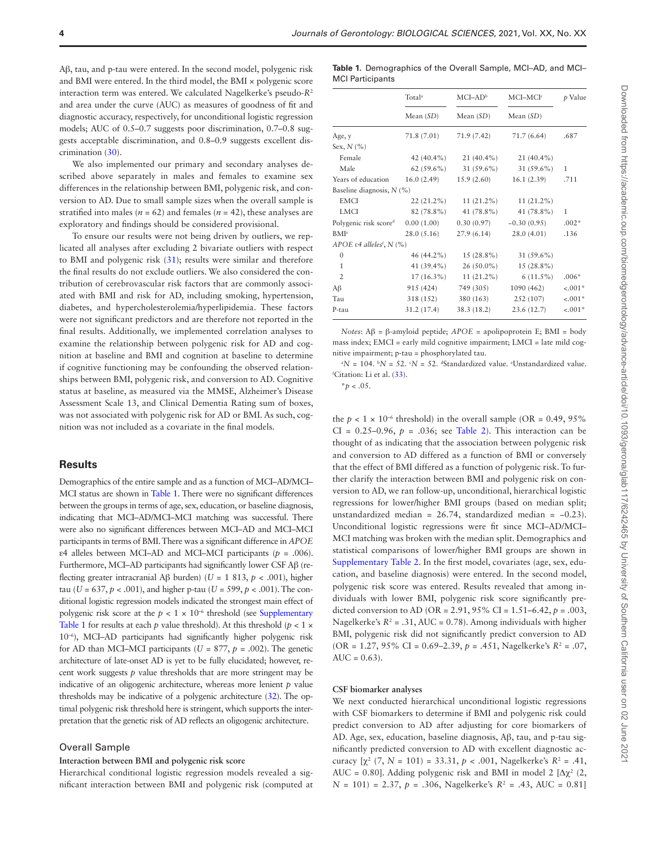Aβ, tau, and p-tau were entered. In the second model, polygenic risk and BMI were entered. In the third model, the BMI × polygenic score interaction term was entered. We calculated Nagelkerke's pseudo-*R*<sup>2</sup> and area under the curve (AUC) as measures of goodness of fit and diagnostic accuracy, respectively, for unconditional logistic regression models; AUC of 0.5–0.7 suggests poor discrimination, 0.7–0.8 suggests acceptable discrimination, and 0.8–0.9 suggests excellent discrimination ([30\)](#page-7-3).

We also implemented our primary and secondary analyses described above separately in males and females to examine sex differences in the relationship between BMI, polygenic risk, and conversion to AD. Due to small sample sizes when the overall sample is stratified into males ( $n = 62$ ) and females ( $n = 42$ ), these analyses are exploratory and findings should be considered provisional.

To ensure our results were not being driven by outliers, we replicated all analyses after excluding 2 bivariate outliers with respect to BMI and polygenic risk ([31\)](#page-7-4); results were similar and therefore the final results do not exclude outliers. We also considered the contribution of cerebrovascular risk factors that are commonly associated with BMI and risk for AD, including smoking, hypertension, diabetes, and hypercholesterolemia/hyperlipidemia. These factors were not significant predictors and are therefore not reported in the final results. Additionally, we implemented correlation analyses to examine the relationship between polygenic risk for AD and cognition at baseline and BMI and cognition at baseline to determine if cognitive functioning may be confounding the observed relationships between BMI, polygenic risk, and conversion to AD. Cognitive status at baseline, as measured via the MMSE, Alzheimer's Disease Assessment Scale 13, and Clinical Dementia Rating sum of boxes, was not associated with polygenic risk for AD or BMI. As such, cognition was not included as a covariate in the final models.

#### **Results**

Demographics of the entire sample and as a function of MCI–AD/MCI– MCI status are shown in [Table 1.](#page-3-0) There were no significant differences between the groups in terms of age, sex, education, or baseline diagnosis, indicating that MCI–AD/MCI–MCI matching was successful. There were also no significant differences between MCI–AD and MCI–MCI participants in terms of BMI. There was a significant difference in *APOE* ε4 alleles between MCI–AD and MCI–MCI participants (*p* = .006). Furthermore, MCI–AD participants had significantly lower CSF Aβ (reflecting greater intracranial Aβ burden) (*U* = 1 813, *p* < .001), higher tau ( $U = 637$ ,  $p < .001$ ), and higher p-tau ( $U = 599$ ,  $p < .001$ ). The conditional logistic regression models indicated the strongest main effect of polygenic risk score at the  $p < 1 \times 10^{-6}$  threshold (see Supplementary [Table 1](http://academic.oup.com/biomedgerontology/article-lookup/doi/10.1093/gerona/glab117#supplementary-data) for results at each  $p$  value threshold). At this threshold ( $p < 1 \times$ 10–6), MCI–AD participants had significantly higher polygenic risk for AD than MCI–MCI participants ( $U = 877$ ,  $p = .002$ ). The genetic architecture of late-onset AD is yet to be fully elucidated; however, recent work suggests *p* value thresholds that are more stringent may be indicative of an oligogenic architecture, whereas more lenient *p* value thresholds may be indicative of a polygenic architecture ([32](#page-7-5)). The optimal polygenic risk threshold here is stringent, which supports the interpretation that the genetic risk of AD reflects an oligogenic architecture.

#### Overall Sample

#### **Interaction between BMI and polygenic risk score**

Hierarchical conditional logistic regression models revealed a significant interaction between BMI and polygenic risk (computed at <span id="page-3-0"></span>**Table 1.** Demographics of the Overall Sample, MCI–AD, and MCI– MCI Participants

|                                                        | Total <sup>a</sup> | $MCI-ADb$                 | $MCI-MCIc$                                | p Value      |  |
|--------------------------------------------------------|--------------------|---------------------------|-------------------------------------------|--------------|--|
|                                                        | Mean $(SD)$        | Mean $(SD)$               | Mean $(SD)$                               |              |  |
| Age, y                                                 | 71.8 (7.01)        | 71.9 (7.42)               | 71.7 (6.64)                               | .687         |  |
| Sex, $N$ (%)                                           |                    |                           |                                           |              |  |
| Female                                                 |                    |                           | $42(40.4\%)$ $21(40.4\%)$ $21(40.4\%)$    |              |  |
| Male                                                   |                    |                           | $62 (59.6\%)$ $31 (59.6\%)$ $31 (59.6\%)$ | 1            |  |
| Years of education 16.0 (2.49) 15.9 (2.60) 16.1 (2.39) |                    |                           |                                           | .711         |  |
| Baseline diagnosis, $N$ (%)                            |                    |                           |                                           |              |  |
| <b>EMCI</b>                                            |                    |                           | $22(21.2\%)$ $11(21.2\%)$ $11(21.2\%)$    |              |  |
| <b>LMCI</b>                                            |                    |                           | $82(78.8\%)$ $41(78.8\%)$ $41(78.8\%)$    | $\mathbf{1}$ |  |
| Polygenic risk scored                                  |                    |                           | $0.00(1.00)$ $0.30(0.97)$ $-0.30(0.95)$   | $.002*$      |  |
| <b>BMI</b> <sup>e</sup>                                |                    |                           | $28.0(5.16)$ $27.9(6.14)$ $28.0(4.01)$    | .136         |  |
| APOE $\varepsilon$ 4 alleles <sup>t</sup> , N (%)      |                    |                           |                                           |              |  |
| $\mathbf{0}$                                           |                    |                           | $46 (44.2\%)$ $15 (28.8\%)$ $31 (59.6\%)$ |              |  |
| $\mathbf{1}$                                           |                    | $41(39.4\%)$ $26(50.0\%)$ | $15(28.8\%)$                              |              |  |
| 2                                                      |                    |                           | $17(16.3\%)$ $11(21.2\%)$ $6(11.5\%)$     | $.006*$      |  |
| $A\beta$                                               |                    |                           | 915 (424) 749 (305) 1090 (462)            | $-.001*$     |  |
| Tau                                                    |                    |                           | 318 (152) 380 (163) 252 (107)             | $-.001*$     |  |
| P-tau                                                  | 31.2 (17.4)        | 38.3 (18.2)               | 23.6(12.7)                                | $-.001*$     |  |

*Notes*: Aβ = β-amyloid peptide; *APOE* = apolipoprotein E; BMI = body mass index; EMCI = early mild cognitive impairment; LMCI = late mild cognitive impairment; p-tau = phosphorylated tau.

 ${}^{\rm a}N = 104$ .  ${}^{\rm b}N = 52$ .  ${}^{\rm c}N = 52$ . dStandardized value. Unstandardized value. f Citation: Li et al. ([33\)](#page-7-6).

\**p* < .05.

the  $p < 1 \times 10^{-6}$  threshold) in the overall sample (OR = 0.49, 95%) CI =  $0.25-0.96$ ,  $p = .036$ ; see [Table 2](#page-4-0)). This interaction can be thought of as indicating that the association between polygenic risk and conversion to AD differed as a function of BMI or conversely that the effect of BMI differed as a function of polygenic risk. To further clarify the interaction between BMI and polygenic risk on conversion to AD, we ran follow-up, unconditional, hierarchical logistic regressions for lower/higher BMI groups (based on median split; unstandardized median =  $26.74$ , standardized median =  $-0.23$ ). Unconditional logistic regressions were fit since MCI–AD/MCI– MCI matching was broken with the median split. Demographics and statistical comparisons of lower/higher BMI groups are shown in [Supplementary Table 2](http://academic.oup.com/biomedgerontology/article-lookup/doi/10.1093/gerona/glab117#supplementary-data). In the first model, covariates (age, sex, education, and baseline diagnosis) were entered. In the second model, polygenic risk score was entered. Results revealed that among individuals with lower BMI, polygenic risk score significantly predicted conversion to AD (OR = 2.91, 95% CI = 1.51–6.42, *p* = .003, Nagelkerke's  $R^2 = .31$ , AUC = 0.78). Among individuals with higher BMI, polygenic risk did not significantly predict conversion to AD (OR = 1.27, 95% CI = 0.69–2.39, *p* = .451, Nagelkerke's *R*<sup>2</sup> = .07,  $AUC = 0.63$ ).

#### **CSF biomarker analyses**

We next conducted hierarchical unconditional logistic regressions with CSF biomarkers to determine if BMI and polygenic risk could predict conversion to AD after adjusting for core biomarkers of AD. Age, sex, education, baseline diagnosis, Aβ, tau, and p-tau significantly predicted conversion to AD with excellent diagnostic accuracy  $[\chi^2 (7, N = 101) = 33.31, p < .001, Nagelkerke's R<sup>2</sup> = .41,$ AUC = 0.80]. Adding polygenic risk and BMI in model 2  $[\Delta \chi^2 (2,$  $N = 101$  = 2.37,  $p = .306$ , Nagelkerke's  $R^2 = .43$ , AUC = 0.81]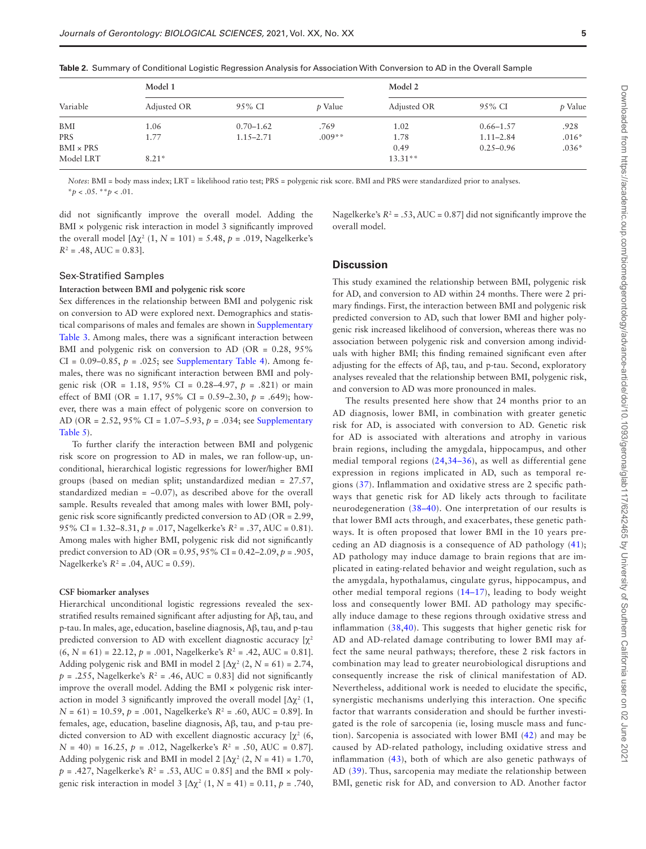|                  |             |               |          | <b>10010</b> - 0011111101 1 01 001101101101 - 001010 11091 00010111 11101 1010 101 1100001011011 11111 00111 1011 101 101 111 111 101 101 111 111 111 111 111 111 111 111 111 111 111 111 111 1 |               |         |  |
|------------------|-------------|---------------|----------|-------------------------------------------------------------------------------------------------------------------------------------------------------------------------------------------------|---------------|---------|--|
| Variable         | Model 1     |               |          | Model 2                                                                                                                                                                                         |               |         |  |
|                  | Adjusted OR | 95% CI        | p Value  | Adjusted OR                                                                                                                                                                                     | 95% CI        | p Value |  |
| BMI              | 1.06        | $0.70 - 1.62$ | .769     | 1.02                                                                                                                                                                                            | $0.66 - 1.57$ | .928    |  |
| PRS              | 1.77        | $1.15 - 2.71$ | $.009**$ | 1.78                                                                                                                                                                                            | $1.11 - 2.84$ | $.016*$ |  |
| $BMI \times PRS$ |             |               |          | 0.49                                                                                                                                                                                            | $0.25 - 0.96$ | $.036*$ |  |
| Model LRT        | $8.21*$     |               |          | $13.31**$                                                                                                                                                                                       |               |         |  |

<span id="page-4-0"></span>**Table 2.** Summary of Conditional Logistic Regression Analysis for Association With Conversion to AD in the Overall Sample

*Notes*: BMI = body mass index; LRT = likelihood ratio test; PRS = polygenic risk score. BMI and PRS were standardized prior to analyses.  $**p* < .05.$ <sup>\*</sup>*p* < .01.

did not significantly improve the overall model. Adding the BMI × polygenic risk interaction in model 3 significantly improved the overall model  $[\Delta \chi^2 (1, N = 101) = 5.48, p = .019,$  Nagelkerke's  $R^2 = .48$ , AUC = 0.83].

Nagelkerke's  $R^2$  = .53, AUC = 0.87] did not significantly improve the overall model.

#### Sex-Stratified Samples

#### **Interaction between BMI and polygenic risk score**

Sex differences in the relationship between BMI and polygenic risk on conversion to AD were explored next. Demographics and statistical comparisons of males and females are shown in [Supplementary](http://academic.oup.com/biomedgerontology/article-lookup/doi/10.1093/gerona/glab117#supplementary-data)  [Table 3.](http://academic.oup.com/biomedgerontology/article-lookup/doi/10.1093/gerona/glab117#supplementary-data) Among males, there was a significant interaction between BMI and polygenic risk on conversion to AD (OR =  $0.28$ ,  $95\%$ CI =  $0.09-0.85$ ,  $p = .025$ ; see [Supplementary Table 4\)](http://academic.oup.com/biomedgerontology/article-lookup/doi/10.1093/gerona/glab117#supplementary-data). Among females, there was no significant interaction between BMI and polygenic risk (OR = 1.18, 95% CI = 0.28–4.97, *p* = .821) or main effect of BMI (OR = 1.17, 95% CI = 0.59–2.30, *p* = .649); however, there was a main effect of polygenic score on conversion to AD (OR = 2.52, 95% CI = 1.07–5.93, *p* = .034; see [Supplementary](http://academic.oup.com/biomedgerontology/article-lookup/doi/10.1093/gerona/glab117#supplementary-data)  [Table 5](http://academic.oup.com/biomedgerontology/article-lookup/doi/10.1093/gerona/glab117#supplementary-data)).

To further clarify the interaction between BMI and polygenic risk score on progression to AD in males, we ran follow-up, unconditional, hierarchical logistic regressions for lower/higher BMI groups (based on median split; unstandardized median = 27.57, standardized median  $= -0.07$ ), as described above for the overall sample. Results revealed that among males with lower BMI, polygenic risk score significantly predicted conversion to AD (OR = 2.99, 95% CI = 1.32–8.31, *p* = .017, Nagelkerke's *R*<sup>2</sup> = .37, AUC = 0.81). Among males with higher BMI, polygenic risk did not significantly predict conversion to AD (OR = 0.95, 95% CI = 0.42–2.09, *p* = .905, Nagelkerke's *R*<sup>2</sup> = .04, AUC = 0.59).

#### **CSF biomarker analyses**

Hierarchical unconditional logistic regressions revealed the sexstratified results remained significant after adjusting for Aβ, tau, and p-tau. In males, age, education, baseline diagnosis, Aβ, tau, and p-tau predicted conversion to AD with excellent diagnostic accuracy  $[\chi^2]$  $(6, N = 61) = 22.12, p = .001$ , Nagelkerke's  $R^2 = .42$ , AUC = 0.81. Adding polygenic risk and BMI in model  $2 \left[ \Delta \chi^2 \left( 2, N = 61 \right) \right] = 2.74$ ,  $p = 0.255$ , Nagelkerke's  $R^2 = 0.46$ , AUC = 0.83] did not significantly improve the overall model. Adding the BMI  $\times$  polygenic risk interaction in model 3 significantly improved the overall model  $[\Delta \chi^2]$  (1,  $N = 61$  = 10.59,  $p = .001$ , Nagelkerke's  $R^2 = .60$ , AUC = 0.89]. In females, age, education, baseline diagnosis, Aβ, tau, and p-tau predicted conversion to AD with excellent diagnostic accuracy  $[\chi^2(6,$  $N = 40$  = 16.25,  $p = .012$ , Nagelkerke's  $R^2 = .50$ , AUC = 0.87]. Adding polygenic risk and BMI in model  $2 \left[ \Delta \chi^2 \left( 2, N = 41 \right) \right] = 1.70$ ,  $p = .427$ , Nagelkerke's  $R^2 = .53$ , AUC = 0.85] and the BMI  $\times$  polygenic risk interaction in model  $3 [Δχ² (1, N = 41) = 0.11, p = .740,$ 

#### **Discussion**

This study examined the relationship between BMI, polygenic risk for AD, and conversion to AD within 24 months. There were 2 primary findings. First, the interaction between BMI and polygenic risk predicted conversion to AD, such that lower BMI and higher polygenic risk increased likelihood of conversion, whereas there was no association between polygenic risk and conversion among individuals with higher BMI; this finding remained significant even after adjusting for the effects of Aβ, tau, and p-tau. Second, exploratory analyses revealed that the relationship between BMI, polygenic risk, and conversion to AD was more pronounced in males.

The results presented here show that 24 months prior to an AD diagnosis, lower BMI, in combination with greater genetic risk for AD, is associated with conversion to AD. Genetic risk for AD is associated with alterations and atrophy in various brain regions, including the amygdala, hippocampus, and other medial temporal regions ([24](#page-6-21),[34–](#page-7-7)[36](#page-7-8)), as well as differential gene expression in regions implicated in AD, such as temporal regions ([37](#page-7-9)). Inflammation and oxidative stress are 2 specific pathways that genetic risk for AD likely acts through to facilitate neurodegeneration ([38–](#page-7-10)[40](#page-7-11)). One interpretation of our results is that lower BMI acts through, and exacerbates, these genetic pathways. It is often proposed that lower BMI in the 10 years preceding an AD diagnosis is a consequence of AD pathology [\(41\)](#page-7-12); AD pathology may induce damage to brain regions that are implicated in eating-related behavior and weight regulation, such as the amygdala, hypothalamus, cingulate gyrus, hippocampus, and other medial temporal regions [\(14–](#page-6-13)[17\)](#page-6-14), leading to body weight loss and consequently lower BMI. AD pathology may specifically induce damage to these regions through oxidative stress and inflammation ([38,](#page-7-10)[40](#page-7-11)). This suggests that higher genetic risk for AD and AD-related damage contributing to lower BMI may affect the same neural pathways; therefore, these 2 risk factors in combination may lead to greater neurobiological disruptions and consequently increase the risk of clinical manifestation of AD. Nevertheless, additional work is needed to elucidate the specific, synergistic mechanisms underlying this interaction. One specific factor that warrants consideration and should be further investigated is the role of sarcopenia (ie, losing muscle mass and function). Sarcopenia is associated with lower BMI [\(42](#page-7-13)) and may be caused by AD-related pathology, including oxidative stress and inflammation ([43\)](#page-7-14), both of which are also genetic pathways of AD [\(39](#page-7-15)). Thus, sarcopenia may mediate the relationship between BMI, genetic risk for AD, and conversion to AD. Another factor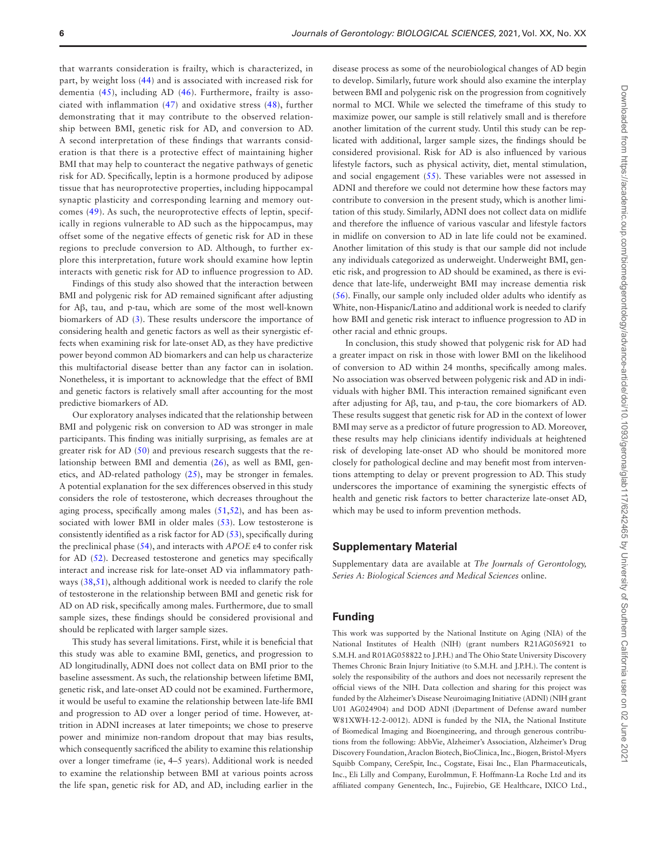that warrants consideration is frailty, which is characterized, in part, by weight loss [\(44\)](#page-7-16) and is associated with increased risk for dementia ([45](#page-7-17)), including AD ([46](#page-7-18)). Furthermore, frailty is associated with inflammation [\(47\)](#page-7-19) and oxidative stress [\(48\)](#page-7-20), further demonstrating that it may contribute to the observed relationship between BMI, genetic risk for AD, and conversion to AD. A second interpretation of these findings that warrants consideration is that there is a protective effect of maintaining higher BMI that may help to counteract the negative pathways of genetic risk for AD. Specifically, leptin is a hormone produced by adipose tissue that has neuroprotective properties, including hippocampal synaptic plasticity and corresponding learning and memory outcomes [\(49](#page-7-21)). As such, the neuroprotective effects of leptin, specifically in regions vulnerable to AD such as the hippocampus, may offset some of the negative effects of genetic risk for AD in these regions to preclude conversion to AD. Although, to further explore this interpretation, future work should examine how leptin interacts with genetic risk for AD to influence progression to AD.

Findings of this study also showed that the interaction between BMI and polygenic risk for AD remained significant after adjusting for Aβ, tau, and p-tau, which are some of the most well-known biomarkers of AD [\(3\)](#page-6-2). These results underscore the importance of considering health and genetic factors as well as their synergistic effects when examining risk for late-onset AD, as they have predictive power beyond common AD biomarkers and can help us characterize this multifactorial disease better than any factor can in isolation. Nonetheless, it is important to acknowledge that the effect of BMI and genetic factors is relatively small after accounting for the most predictive biomarkers of AD.

Our exploratory analyses indicated that the relationship between BMI and polygenic risk on conversion to AD was stronger in male participants. This finding was initially surprising, as females are at greater risk for AD [\(50](#page-7-22)) and previous research suggests that the relationship between BMI and dementia [\(26](#page-6-23)), as well as BMI, genetics, and AD-related pathology [\(25\)](#page-6-22), may be stronger in females. A potential explanation for the sex differences observed in this study considers the role of testosterone, which decreases throughout the aging process, specifically among males [\(51](#page-7-23),[52](#page-7-24)), and has been associated with lower BMI in older males [\(53\)](#page-7-25). Low testosterone is consistently identified as a risk factor for AD [\(53](#page-7-25)), specifically during the preclinical phase ([54\)](#page-7-26), and interacts with *APOE* ε4 to confer risk for AD [\(52\)](#page-7-24). Decreased testosterone and genetics may specifically interact and increase risk for late-onset AD via inflammatory pathways ([38,](#page-7-10)[51\)](#page-7-23), although additional work is needed to clarify the role of testosterone in the relationship between BMI and genetic risk for AD on AD risk, specifically among males. Furthermore, due to small sample sizes, these findings should be considered provisional and should be replicated with larger sample sizes.

This study has several limitations. First, while it is beneficial that this study was able to examine BMI, genetics, and progression to AD longitudinally, ADNI does not collect data on BMI prior to the baseline assessment. As such, the relationship between lifetime BMI, genetic risk, and late-onset AD could not be examined. Furthermore, it would be useful to examine the relationship between late-life BMI and progression to AD over a longer period of time. However, attrition in ADNI increases at later timepoints; we chose to preserve power and minimize non-random dropout that may bias results, which consequently sacrificed the ability to examine this relationship over a longer timeframe (ie, 4–5 years). Additional work is needed to examine the relationship between BMI at various points across the life span, genetic risk for AD, and AD, including earlier in the

disease process as some of the neurobiological changes of AD begin to develop. Similarly, future work should also examine the interplay between BMI and polygenic risk on the progression from cognitively normal to MCI. While we selected the timeframe of this study to maximize power, our sample is still relatively small and is therefore another limitation of the current study. Until this study can be replicated with additional, larger sample sizes, the findings should be considered provisional. Risk for AD is also influenced by various lifestyle factors, such as physical activity, diet, mental stimulation, and social engagement [\(55](#page-7-27)). These variables were not assessed in ADNI and therefore we could not determine how these factors may contribute to conversion in the present study, which is another limitation of this study. Similarly, ADNI does not collect data on midlife and therefore the influence of various vascular and lifestyle factors in midlife on conversion to AD in late life could not be examined. Another limitation of this study is that our sample did not include any individuals categorized as underweight. Underweight BMI, genetic risk, and progression to AD should be examined, as there is evidence that late-life, underweight BMI may increase dementia risk [\(56](#page-7-28)). Finally, our sample only included older adults who identify as White, non-Hispanic/Latino and additional work is needed to clarify how BMI and genetic risk interact to influence progression to AD in other racial and ethnic groups.

In conclusion, this study showed that polygenic risk for AD had a greater impact on risk in those with lower BMI on the likelihood of conversion to AD within 24 months, specifically among males. No association was observed between polygenic risk and AD in individuals with higher BMI. This interaction remained significant even after adjusting for Aβ, tau, and p-tau, the core biomarkers of AD. These results suggest that genetic risk for AD in the context of lower BMI may serve as a predictor of future progression to AD. Moreover, these results may help clinicians identify individuals at heightened risk of developing late-onset AD who should be monitored more closely for pathological decline and may benefit most from interventions attempting to delay or prevent progression to AD. This study underscores the importance of examining the synergistic effects of health and genetic risk factors to better characterize late-onset AD, which may be used to inform prevention methods.

## **Supplementary Material**

Supplementary data are available at *The Journals of Gerontology, Series A: Biological Sciences and Medical Sciences* online.

## **Funding**

This work was supported by the National Institute on Aging (NIA) of the National Institutes of Health (NIH) (grant numbers R21AG056921 to S.M.H. and R01AG058822 to J.P.H.) and The Ohio State University Discovery Themes Chronic Brain Injury Initiative (to S.M.H. and J.P.H.). The content is solely the responsibility of the authors and does not necessarily represent the official views of the NIH. Data collection and sharing for this project was funded by the Alzheimer's Disease Neuroimaging Initiative (ADNI) (NIH grant U01 AG024904) and DOD ADNI (Department of Defense award number W81XWH-12-2-0012). ADNI is funded by the NIA, the National Institute of Biomedical Imaging and Bioengineering, and through generous contributions from the following: AbbVie, Alzheimer's Association, Alzheimer's Drug Discovery Foundation, Araclon Biotech, BioClinica, Inc., Biogen, Bristol-Myers Squibb Company, CereSpir, Inc., Cogstate, Eisai Inc., Elan Pharmaceuticals, Inc., Eli Lilly and Company, EuroImmun, F. Hoffmann-La Roche Ltd and its affiliated company Genentech, Inc., Fujirebio, GE Healthcare, IXICO Ltd.,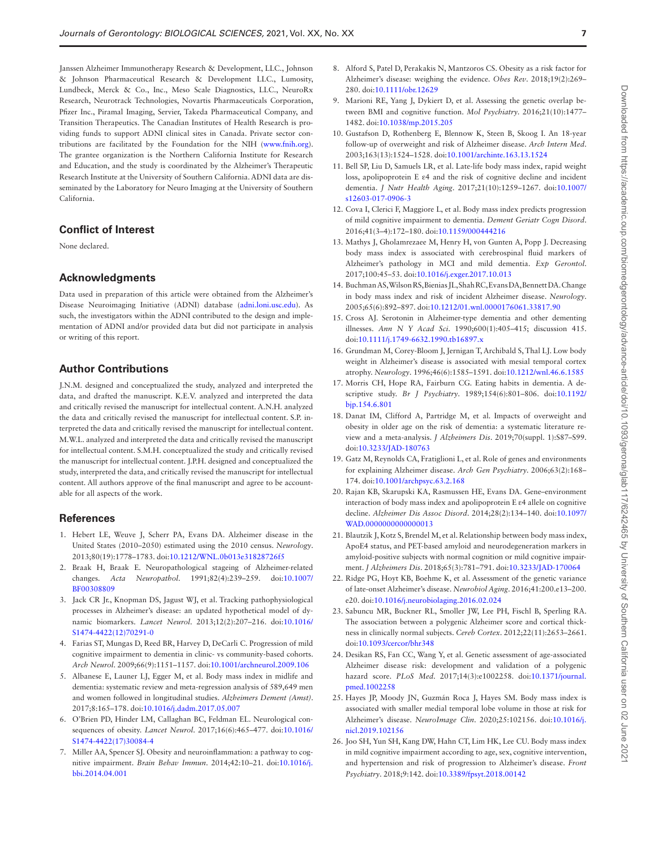Janssen Alzheimer Immunotherapy Research & Development, LLC., Johnson & Johnson Pharmaceutical Research & Development LLC., Lumosity, Lundbeck, Merck & Co., Inc., Meso Scale Diagnostics, LLC., NeuroRx Research, Neurotrack Technologies, Novartis Pharmaceuticals Corporation, Pfizer Inc., Piramal Imaging, Servier, Takeda Pharmaceutical Company, and Transition Therapeutics. The Canadian Institutes of Health Research is providing funds to support ADNI clinical sites in Canada. Private sector contributions are facilitated by the Foundation for the NIH ([www.fnih.org\)](http://www.fnih.org). The grantee organization is the Northern California Institute for Research and Education, and the study is coordinated by the Alzheimer's Therapeutic Research Institute at the University of Southern California. ADNI data are disseminated by the Laboratory for Neuro Imaging at the University of Southern California.

## **Conflict of Interest**

None declared.

## **Acknowledgments**

Data used in preparation of this article were obtained from the Alzheimer's Disease Neuroimaging Initiative (ADNI) database [\(adni.loni.usc.edu\)](http://adni.loni.usc.edu). As such, the investigators within the ADNI contributed to the design and implementation of ADNI and/or provided data but did not participate in analysis or writing of this report.

## **Author Contributions**

J.N.M. designed and conceptualized the study, analyzed and interpreted the data, and drafted the manuscript. K.E.V. analyzed and interpreted the data and critically revised the manuscript for intellectual content. A.N.H. analyzed the data and critically revised the manuscript for intellectual content. S.P. interpreted the data and critically revised the manuscript for intellectual content. M.W.L. analyzed and interpreted the data and critically revised the manuscript for intellectual content. S.M.H. conceptualized the study and critically revised the manuscript for intellectual content. J.P.H. designed and conceptualized the study, interpreted the data, and critically revised the manuscript for intellectual content. All authors approve of the final manuscript and agree to be accountable for all aspects of the work.

#### **References**

- <span id="page-6-0"></span>1. Hebert LE, Weuve J, Scherr PA, Evans DA. Alzheimer disease in the United States (2010–2050) estimated using the 2010 census. *Neurology*. 2013;80(19):1778–1783. doi[:10.1212/WNL.0b013e31828726f5](https://doi.org/10.1212/WNL.0b013e31828726f5)
- <span id="page-6-1"></span>2. Braak H, Braak E. Neuropathological stageing of Alzheimer-related changes. *Acta Neuropathol*. 1991;82(4):239–259. doi[:10.1007/](https://doi.org/10.1007/BF00308809) [BF00308809](https://doi.org/10.1007/BF00308809)
- <span id="page-6-2"></span>3. Jack CR Jr., Knopman DS, Jagust WJ, et al. Tracking pathophysiological processes in Alzheimer's disease: an updated hypothetical model of dynamic biomarkers. *Lancet Neurol*. 2013;12(2):207–216. doi[:10.1016/](https://doi.org/10.1016/S1474-4422(12)70291-0) [S1474-4422\(12\)70291-0](https://doi.org/10.1016/S1474-4422(12)70291-0)
- <span id="page-6-3"></span>4. Farias ST, Mungas D, Reed BR, Harvey D, DeCarli C. Progression of mild cognitive impairment to dementia in clinic- vs community-based cohorts. *Arch Neurol*. 2009;66(9):1151–1157. doi[:10.1001/archneurol.2009.106](https://doi.org/10.1001/archneurol.2009.106)
- <span id="page-6-4"></span>5. Albanese E, Launer LJ, Egger M, et al. Body mass index in midlife and dementia: systematic review and meta-regression analysis of 589,649 men and women followed in longitudinal studies. *Alzheimers Dement (Amst)*. 2017;8:165–178. doi[:10.1016/j.dadm.2017.05.007](https://doi.org/10.1016/j.dadm.2017.05.007)
- <span id="page-6-5"></span>6. O'Brien PD, Hinder LM, Callaghan BC, Feldman EL. Neurological consequences of obesity. *Lancet Neurol*. 2017;16(6):465–477. doi[:10.1016/](https://doi.org/10.1016/S1474-4422(17)30084-4) [S1474-4422\(17\)30084-4](https://doi.org/10.1016/S1474-4422(17)30084-4)
- <span id="page-6-6"></span>7. Miller AA, Spencer SJ. Obesity and neuroinflammation: a pathway to cognitive impairment. *Brain Behav Immun*. 2014;42:10–21. doi:[10.1016/j.](https://doi.org/10.1016/j.bbi.2014.04.001) [bbi.2014.04.001](https://doi.org/10.1016/j.bbi.2014.04.001)
- <span id="page-6-7"></span>8. Alford S, Patel D, Perakakis N, Mantzoros CS. Obesity as a risk factor for Alzheimer's disease: weighing the evidence. *Obes Rev*. 2018;19(2):269– 280. doi:[10.1111/obr.12629](https://doi.org/10.1111/obr.12629)
- <span id="page-6-8"></span>9. Marioni RE, Yang J, Dykiert D, et al. Assessing the genetic overlap between BMI and cognitive function. *Mol Psychiatry*. 2016;21(10):1477– 1482. doi:[10.1038/mp.2015.205](https://doi.org/10.1038/mp.2015.205)
- <span id="page-6-9"></span>10. Gustafson D, Rothenberg E, Blennow K, Steen B, Skoog I. An 18-year follow-up of overweight and risk of Alzheimer disease. *Arch Intern Med*. 2003;163(13):1524–1528. doi[:10.1001/archinte.163.13.1524](https://doi.org/10.1001/archinte.163.13.1524)
- <span id="page-6-10"></span>11. Bell SP, Liu D, Samuels LR, et al. Late-life body mass index, rapid weight loss, apolipoprotein E ε4 and the risk of cognitive decline and incident dementia. *J Nutr Health Aging*. 2017;21(10):1259–1267. doi[:10.1007/](https://doi.org/10.1007/s12603-017-0906-3) [s12603-017-0906-3](https://doi.org/10.1007/s12603-017-0906-3)
- <span id="page-6-11"></span>12. Cova I, Clerici F, Maggiore L, et al. Body mass index predicts progression of mild cognitive impairment to dementia. *Dement Geriatr Cogn Disord*. 2016;41(3–4):172–180. doi:[10.1159/000444216](https://doi.org/10.1159/000444216)
- <span id="page-6-12"></span>13. Mathys J, Gholamrezaee M, Henry H, von Gunten A, Popp J. Decreasing body mass index is associated with cerebrospinal fluid markers of Alzheimer's pathology in MCI and mild dementia. *Exp Gerontol*. 2017;100:45–53. doi[:10.1016/j.exger.2017.10.013](https://doi.org/10.1016/j.exger.2017.10.013)
- <span id="page-6-13"></span>14. Buchman AS, Wilson RS, Bienias JL, Shah RC, Evans DA, Bennett DA. Change in body mass index and risk of incident Alzheimer disease. *Neurology*. 2005;65(6):892–897. doi:[10.1212/01.wnl.0000176061.33817.90](https://doi.org/10.1212/01.wnl.0000176061.33817.90)
- 15. Cross AJ. Serotonin in Alzheimer-type dementia and other dementing illnesses. *Ann N Y Acad Sci*. 1990;600(1):405–415; discussion 415. doi[:10.1111/j.1749-6632.1990.tb16897.x](https://doi.org/10.1111/j.1749-6632.1990.tb16897.x)
- 16. Grundman M, Corey-Bloom J, Jernigan T, Archibald S, Thal LJ. Low body weight in Alzheimer's disease is associated with mesial temporal cortex atrophy. *Neurology*. 1996;46(6):1585–1591. doi:[10.1212/wnl.46.6.1585](https://doi.org/10.1212/wnl.46.6.1585)
- <span id="page-6-14"></span>17. Morris CH, Hope RA, Fairburn CG. Eating habits in dementia. A descriptive study. *Br J Psychiatry*. 1989;154(6):801–806. doi[:10.1192/](https://doi.org/10.1192/bjp.154.6.801) [bjp.154.6.801](https://doi.org/10.1192/bjp.154.6.801)
- <span id="page-6-15"></span>18. Danat IM, Clifford A, Partridge M, et al. Impacts of overweight and obesity in older age on the risk of dementia: a systematic literature review and a meta-analysis. *J Alzheimers Dis*. 2019;70(suppl. 1):S87–S99. doi[:10.3233/JAD-180763](https://doi.org/10.3233/JAD-180763)
- <span id="page-6-16"></span>19. Gatz M, Reynolds CA, Fratiglioni L, et al. Role of genes and environments for explaining Alzheimer disease. *Arch Gen Psychiatry*. 2006;63(2):168– 174. doi:[10.1001/archpsyc.63.2.168](https://doi.org/10.1001/archpsyc.63.2.168)
- <span id="page-6-17"></span>20. Rajan KB, Skarupski KA, Rasmussen HE, Evans DA. Gene–environment interaction of body mass index and apolipoprotein E ε4 allele on cognitive decline. *Alzheimer Dis Assoc Disord*. 2014;28(2):134–140. doi[:10.1097/](https://doi.org/10.1097/WAD.0000000000000013) WAD.00000000000000013
- <span id="page-6-18"></span>21. Blautzik J, Kotz S, Brendel M, et al. Relationship between body mass index, ApoE4 status, and PET-based amyloid and neurodegeneration markers in amyloid-positive subjects with normal cognition or mild cognitive impairment. *J Alzheimers Dis*. 2018;65(3):781–791. doi[:10.3233/JAD-170064](https://doi.org/10.3233/JAD-170064)
- <span id="page-6-19"></span>22. Ridge PG, Hoyt KB, Boehme K, et al. Assessment of the genetic variance of late-onset Alzheimer's disease. *Neurobiol Aging*. 2016;41:200.e13–200. e20. doi:[10.1016/j.neurobiolaging.2016.02.024](https://doi.org/10.1016/j.neurobiolaging.2016.02.024)
- <span id="page-6-20"></span>23. Sabuncu MR, Buckner RL, Smoller JW, Lee PH, Fischl B, Sperling RA. The association between a polygenic Alzheimer score and cortical thickness in clinically normal subjects. *Cereb Cortex*. 2012;22(11):2653–2661. doi[:10.1093/cercor/bhr348](https://doi.org/10.1093/cercor/bhr348)
- <span id="page-6-21"></span>24. Desikan RS, Fan CC, Wang Y, et al. Genetic assessment of age-associated Alzheimer disease risk: development and validation of a polygenic hazard score. *PLoS Med*. 2017;14(3):e1002258. doi:[10.1371/journal.](https://doi.org/10.1371/journal.pmed.1002258) [pmed.1002258](https://doi.org/10.1371/journal.pmed.1002258)
- <span id="page-6-22"></span>25. Hayes JP, Moody JN, Guzmán Roca J, Hayes SM. Body mass index is associated with smaller medial temporal lobe volume in those at risk for Alzheimer's disease. *NeuroImage Clin*. 2020;25:102156. doi:[10.1016/j.](https://doi.org/10.1016/j.nicl.2019.102156) [nicl.2019.102156](https://doi.org/10.1016/j.nicl.2019.102156)
- <span id="page-6-23"></span>26. Joo SH, Yun SH, Kang DW, Hahn CT, Lim HK, Lee CU. Body mass index in mild cognitive impairment according to age, sex, cognitive intervention, and hypertension and risk of progression to Alzheimer's disease. *Front Psychiatry*. 2018;9:142. doi[:10.3389/fpsyt.2018.00142](https://doi.org/10.3389/fpsyt.2018.00142)